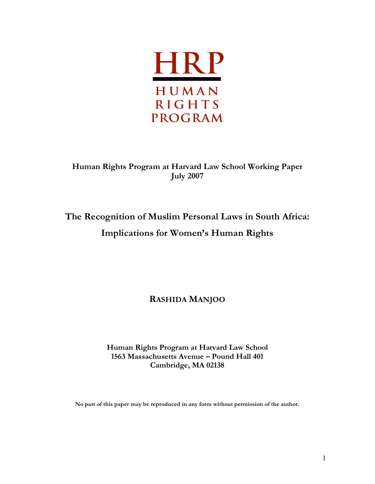

## **Human Rights Program at Harvard Law School Working Paper July 2007**

# **The Recognition of Muslim Personal Laws in South Africa: Implications for Women's Human Rights**

**RASHIDA MANJOO**

**Human Rights Program at Harvard Law School 1563 Massachusetts Avenue – Pound Hall 401 Cambridge, MA 02138**

**No part of this paper may be reproduced in any form without permission of the author.**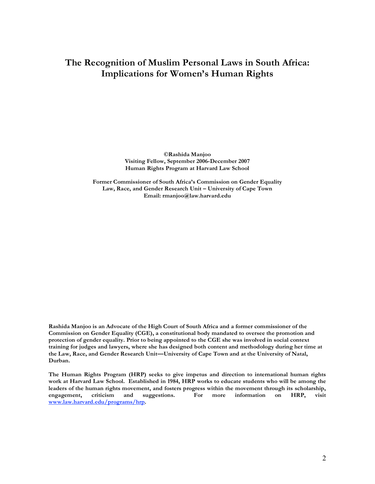## **The Recognition of Muslim Personal Laws in South Africa: Implications for Women's Human Rights**

**©Rashida Manjoo Visiting Fellow, September 2006-December 2007 Human Rights Program at Harvard Law School**

**Former Commissioner of South Africa's Commission on Gender Equality Law, Race, and Gender Research Unit – University of Cape Town Email: rmanjoo@law.harvard.edu**

**Rashida Manjoo is an Advocate of the High Court of South Africa and a former commissioner of the Commission on Gender Equality (CGE), a constitutional body mandated to oversee the promotion and protection of gender equality. Prior to being appointed to the CGE she was involved in social context training for judges and lawyers, where she has designed both content and methodology during her time at the Law, Race, and Gender Research Unit—University of Cape Town and at the University of Natal, Durban.**

**The Human Rights Program (HRP) seeks to give impetus and direction to international human rights** work at Harvard Law School. Established in 1984, HRP works to educate students who will be among the **leaders of the human rights movement, and fosters progress within the movement through its scholarship, engagement, criticism and suggestions. For more information on HRP, visit www.law.harvard.edu/programs/hrp.**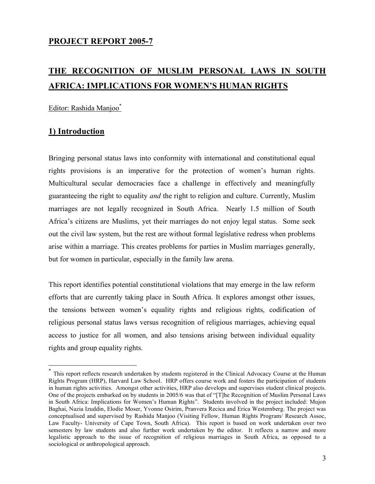## **PROJECT REPORT 2005-7**

## **THE RECOGNITION OF MUSLIM PERSONAL LAWS IN SOUTH AFRICA: IMPLICATIONS FOR WOMEN'S HUMAN RIGHTS**

Editor: Rashida Manjoo\*

#### **1) Introduction**

Bringing personal status laws into conformity with international and constitutional equal rights provisions is an imperative for the protection of women's human rights. Multicultural secular democracies face a challenge in effectively and meaningfully guaranteeing the right to equality *and* the right to religion and culture. Currently, Muslim marriages are not legally recognized in South Africa. Nearly 1.5 million of South Africa's citizens are Muslims, yet their marriages do not enjoy legal status. Some seek out the civil law system, but the rest are without formal legislative redress when problems arise within a marriage. This creates problems for parties in Muslim marriages generally, but for women in particular, especially in the family law arena.

This report identifies potential constitutional violations that may emerge in the law reform efforts that are currently taking place in South Africa. It explores amongst other issues, the tensions between women's equality rights and religious rights, codification of religious personal status laws versus recognition of religious marriages, achieving equal access to justice for all women, and also tensions arising between individual equality rights and group equality rights.

This report reflects research undertaken by students registered in the Clinical Advocacy Course at the Human Rights Program (HRP), Harvard Law School. HRP offers course work and fosters the participation of students in human rights activities. Amongst other activities, HRP also develops and supervises student clinical projects. One of the projects embarked on by students in 2005/6 was that of "[T]he Recognition of Muslim Personal Laws in South Africa: Implications for Women's Human Rights". Students involved in the project included: Mujon Baghai, Nazia Izuddin, Elodie Moser, Yvonne Osirim, Pranvera Recica and Erica Westernberg. The project was conceptualised and supervised by Rashida Manjoo (Visiting Fellow, Human Rights Program/ Research Assoc, Law Faculty- University of Cape Town, South Africa). This report is based on work undertaken over two semesters by law students and also further work undertaken by the editor. It reflects a narrow and more legalistic approach to the issue of recognition of religious marriages in South Africa, as opposed to a sociological or anthropological approach.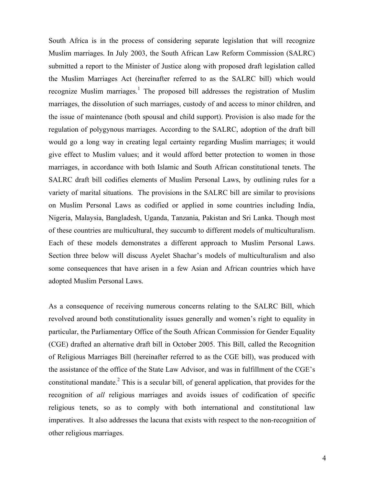South Africa is in the process of considering separate legislation that will recognize Muslim marriages. In July 2003, the South African Law Reform Commission (SALRC) submitted a report to the Minister of Justice along with proposed draft legislation called the Muslim Marriages Act (hereinafter referred to as the SALRC bill) which would recognize Muslim marriages.<sup>1</sup> The proposed bill addresses the registration of Muslim marriages, the dissolution of such marriages, custody of and access to minor children, and the issue of maintenance (both spousal and child support). Provision is also made for the regulation of polygynous marriages. According to the SALRC, adoption of the draft bill would go a long way in creating legal certainty regarding Muslim marriages; it would give effect to Muslim values; and it would afford better protection to women in those marriages, in accordance with both Islamic and South African constitutional tenets. The SALRC draft bill codifies elements of Muslim Personal Laws, by outlining rules for a variety of marital situations. The provisions in the SALRC bill are similar to provisions on Muslim Personal Laws as codified or applied in some countries including India, Nigeria, Malaysia, Bangladesh, Uganda, Tanzania, Pakistan and Sri Lanka. Though most of these countries are multicultural, they succumb to different models of multiculturalism. Each of these models demonstrates a different approach to Muslim Personal Laws. Section three below will discuss Ayelet Shachar's models of multiculturalism and also some consequences that have arisen in a few Asian and African countries which have adopted Muslim Personal Laws.

As a consequence of receiving numerous concerns relating to the SALRC Bill, which revolved around both constitutionality issues generally and women's right to equality in particular, the Parliamentary Office of the South African Commission for Gender Equality (CGE) drafted an alternative draft bill in October 2005. This Bill, called the Recognition of Religious Marriages Bill (hereinafter referred to as the CGE bill), was produced with the assistance of the office of the State Law Advisor, and was in fulfillment of the CGE's constitutional mandate.<sup>2</sup> This is a secular bill, of general application, that provides for the recognition of *all* religious marriages and avoids issues of codification of specific religious tenets, so as to comply with both international and constitutional law imperatives. It also addresses the lacuna that exists with respect to the non-recognition of other religious marriages.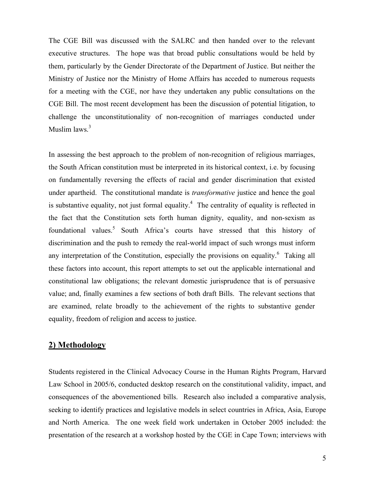The CGE Bill was discussed with the SALRC and then handed over to the relevant executive structures. The hope was that broad public consultations would be held by them, particularly by the Gender Directorate of the Department of Justice. But neither the Ministry of Justice nor the Ministry of Home Affairs has acceded to numerous requests for a meeting with the CGE, nor have they undertaken any public consultations on the CGE Bill. The most recent development has been the discussion of potential litigation, to challenge the unconstitutionality of non-recognition of marriages conducted under Muslim laws.<sup>3</sup>

In assessing the best approach to the problem of non-recognition of religious marriages, the South African constitution must be interpreted in its historical context, i.e. by focusing on fundamentally reversing the effects of racial and gender discrimination that existed under apartheid. The constitutional mandate is *transformative* justice and hence the goal is substantive equality, not just formal equality.<sup>4</sup> The centrality of equality is reflected in the fact that the Constitution sets forth human dignity, equality, and non-sexism as foundational values. <sup>5</sup> South Africa's courts have stressed that this history of discrimination and the push to remedy the real-world impact of such wrongs must inform any interpretation of the Constitution, especially the provisions on equality.<sup>6</sup> Taking all these factors into account, this report attempts to set out the applicable international and constitutional law obligations; the relevant domestic jurisprudence that is of persuasive value; and, finally examines a few sections of both draft Bills. The relevant sections that are examined, relate broadly to the achievement of the rights to substantive gender equality, freedom of religion and access to justice.

#### **2) Methodology**

Students registered in the Clinical Advocacy Course in the Human Rights Program, Harvard Law School in 2005/6, conducted desktop research on the constitutional validity, impact, and consequences of the abovementioned bills. Research also included a comparative analysis, seeking to identify practices and legislative models in select countries in Africa, Asia, Europe and North America. The one week field work undertaken in October 2005 included: the presentation of the research at a workshop hosted by the CGE in Cape Town; interviews with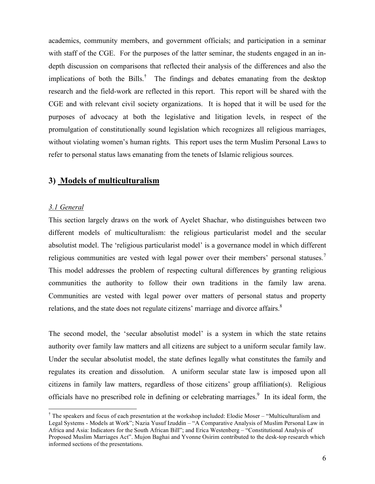academics, community members, and government officials; and participation in a seminar with staff of the CGE. For the purposes of the latter seminar, the students engaged in an indepth discussion on comparisons that reflected their analysis of the differences and also the implications of both the Bills.<sup>†</sup> The findings and debates emanating from the desktop research and the field-work are reflected in this report. This report will be shared with the CGE and with relevant civil society organizations. It is hoped that it will be used for the purposes of advocacy at both the legislative and litigation levels, in respect of the promulgation of constitutionally sound legislation which recognizes all religious marriages, without violating women's human rights. This report uses the term Muslim Personal Laws to refer to personal status laws emanating from the tenets of Islamic religious sources.

#### **3) Models of multiculturalism**

#### *3.1 General*

This section largely draws on the work of Ayelet Shachar, who distinguishes between two different models of multiculturalism: the religious particularist model and the secular absolutist model. The 'religious particularist model' is a governance model in which different religious communities are vested with legal power over their members' personal statuses.<sup>7</sup> This model addresses the problem of respecting cultural differences by granting religious communities the authority to follow their own traditions in the family law arena. Communities are vested with legal power over matters of personal status and property relations, and the state does not regulate citizens' marriage and divorce affairs.<sup>8</sup>

The second model, the 'secular absolutist model' is a system in which the state retains authority over family law matters and all citizens are subject to a uniform secular family law. Under the secular absolutist model, the state defines legally what constitutes the family and regulates its creation and dissolution. A uniform secular state law is imposed upon all citizens in family law matters, regardless of those citizens' group affiliation(s). Religious officials have no prescribed role in defining or celebrating marriages.<sup>9</sup> In its ideal form, the

 <sup>†</sup> The speakers and focus of each presentation at the workshop included: Elodie Moser – "Multiculturalism and Legal Systems - Models at Work"; Nazia Yusuf Izuddin – "A Comparative Analysis of Muslim Personal Law in Africa and Asia: Indicators for the South African Bill"; and Erica Westenberg – "Constitutional Analysis of Proposed Muslim Marriages Act". Mujon Baghai and Yvonne Osirim contributed to the desk-top research which informed sections of the presentations.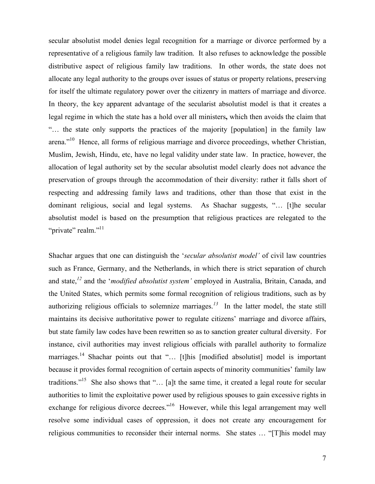secular absolutist model denies legal recognition for a marriage or divorce performed by a representative of a religious family law tradition. It also refuses to acknowledge the possible distributive aspect of religious family law traditions. In other words, the state does not allocate any legal authority to the groups over issues of status or property relations, preserving for itself the ultimate regulatory power over the citizenry in matters of marriage and divorce. In theory, the key apparent advantage of the secularist absolutist model is that it creates a legal regime in which the state has a hold over all ministers**,** which then avoids the claim that "… the state only supports the practices of the majority [population] in the family law arena."<sup>10</sup> Hence, all forms of religious marriage and divorce proceedings, whether Christian, Muslim, Jewish, Hindu, etc, have no legal validity under state law. In practice, however, the allocation of legal authority set by the secular absolutist model clearly does not advance the preservation of groups through the accommodation of their diversity: rather it falls short of respecting and addressing family laws and traditions, other than those that exist in the dominant religious, social and legal systems. As Shachar suggests, "… [t]he secular absolutist model is based on the presumption that religious practices are relegated to the "private" realm."<sup>11</sup>

Shachar argues that one can distinguish the '*secular absolutist model'* of civil law countries such as France, Germany, and the Netherlands, in which there is strict separation of church and state, *12* and the '*modified absolutist system'* employed in Australia, Britain, Canada, and the United States, which permits some formal recognition of religious traditions, such as by authorizing religious officials to solemnize marriages.<sup>13</sup> In the latter model, the state still maintains its decisive authoritative power to regulate citizens' marriage and divorce affairs, but state family law codes have been rewritten so as to sanction greater cultural diversity. For instance, civil authorities may invest religious officials with parallel authority to formalize marriages.<sup>14</sup> Shachar points out that "... [t]his [modified absolutist] model is important because it provides formal recognition of certain aspects of minority communities' family law traditions."<sup>15</sup> She also shows that "... [a]t the same time, it created a legal route for secular authorities to limit the exploitative power used by religious spouses to gain excessive rights in exchange for religious divorce decrees."<sup>16</sup> However, while this legal arrangement may well resolve some individual cases of oppression, it does not create any encouragement for religious communities to reconsider their internal norms. She states … "[T]his model may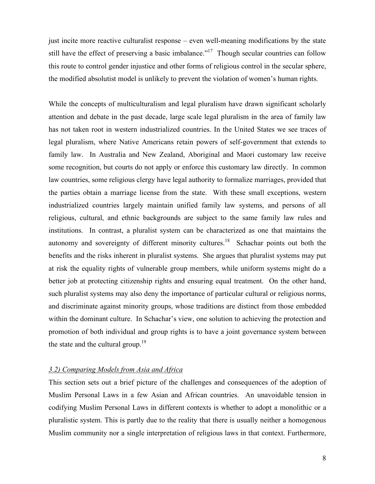just incite more reactive culturalist response – even well-meaning modifications by the state still have the effect of preserving a basic imbalance."<sup>17</sup> Though secular countries can follow this route to control gender injustice and other forms of religious control in the secular sphere, the modified absolutist model is unlikely to prevent the violation of women's human rights.

While the concepts of multiculturalism and legal pluralism have drawn significant scholarly attention and debate in the past decade, large scale legal pluralism in the area of family law has not taken root in western industrialized countries. In the United States we see traces of legal pluralism, where Native Americans retain powers of self-government that extends to family law. In Australia and New Zealand, Aboriginal and Maori customary law receive some recognition, but courts do not apply or enforce this customary law directly. In common law countries, some religious clergy have legal authority to formalize marriages, provided that the parties obtain a marriage license from the state. With these small exceptions, western industrialized countries largely maintain unified family law systems, and persons of all religious, cultural, and ethnic backgrounds are subject to the same family law rules and institutions. In contrast, a pluralist system can be characterized as one that maintains the autonomy and sovereignty of different minority cultures.<sup>18</sup> Schachar points out both the benefits and the risks inherent in pluralist systems. She argues that pluralist systems may put at risk the equality rights of vulnerable group members, while uniform systems might do a better job at protecting citizenship rights and ensuring equal treatment. On the other hand, such pluralist systems may also deny the importance of particular cultural or religious norms, and discriminate against minority groups, whose traditions are distinct from those embedded within the dominant culture. In Schachar's view, one solution to achieving the protection and promotion of both individual and group rights is to have a joint governance system between the state and the cultural group.<sup>19</sup>

#### *3.2) Comparing Models from Asia and Africa*

This section sets out a brief picture of the challenges and consequences of the adoption of Muslim Personal Laws in a few Asian and African countries. An unavoidable tension in codifying Muslim Personal Laws in different contexts is whether to adopt a monolithic or a pluralistic system. This is partly due to the reality that there is usually neither a homogenous Muslim community nor a single interpretation of religious laws in that context. Furthermore,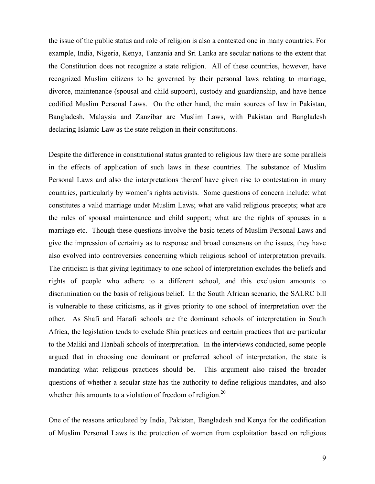the issue of the public status and role of religion is also a contested one in many countries. For example, India, Nigeria, Kenya, Tanzania and Sri Lanka are secular nations to the extent that the Constitution does not recognize a state religion. All of these countries, however, have recognized Muslim citizens to be governed by their personal laws relating to marriage, divorce, maintenance (spousal and child support), custody and guardianship, and have hence codified Muslim Personal Laws. On the other hand, the main sources of law in Pakistan, Bangladesh, Malaysia and Zanzibar are Muslim Laws, with Pakistan and Bangladesh declaring Islamic Law as the state religion in their constitutions.

Despite the difference in constitutional status granted to religious law there are some parallels in the effects of application of such laws in these countries. The substance of Muslim Personal Laws and also the interpretations thereof have given rise to contestation in many countries, particularly by women's rights activists. Some questions of concern include: what constitutes a valid marriage under Muslim Laws; what are valid religious precepts; what are the rules of spousal maintenance and child support; what are the rights of spouses in a marriage etc. Though these questions involve the basic tenets of Muslim Personal Laws and give the impression of certainty as to response and broad consensus on the issues, they have also evolved into controversies concerning which religious school of interpretation prevails. The criticism is that giving legitimacy to one school of interpretation excludes the beliefs and rights of people who adhere to a different school, and this exclusion amounts to discrimination on the basis of religious belief. In the South African scenario, the SALRC bill is vulnerable to these criticisms, as it gives priority to one school of interpretation over the other. As Shafi and Hanafi schools are the dominant schools of interpretation in South Africa, the legislation tends to exclude Shia practices and certain practices that are particular to the Maliki and Hanbali schools of interpretation. In the interviews conducted, some people argued that in choosing one dominant or preferred school of interpretation, the state is mandating what religious practices should be. This argument also raised the broader questions of whether a secular state has the authority to define religious mandates, and also whether this amounts to a violation of freedom of religion.<sup>20</sup>

One of the reasons articulated by India, Pakistan, Bangladesh and Kenya for the codification of Muslim Personal Laws is the protection of women from exploitation based on religious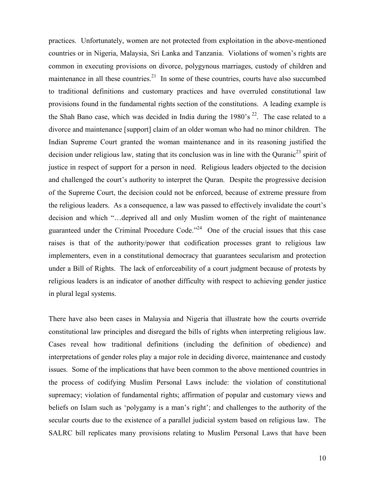practices. Unfortunately, women are not protected from exploitation in the above-mentioned countries or in Nigeria, Malaysia, Sri Lanka and Tanzania. Violations of women's rights are common in executing provisions on divorce, polygynous marriages, custody of children and maintenance in all these countries.<sup>21</sup> In some of these countries, courts have also succumbed to traditional definitions and customary practices and have overruled constitutional law provisions found in the fundamental rights section of the constitutions. A leading example is the Shah Bano case, which was decided in India during the 1980's  $^{22}$ . The case related to a divorce and maintenance [support] claim of an older woman who had no minor children. The Indian Supreme Court granted the woman maintenance and in its reasoning justified the decision under religious law, stating that its conclusion was in line with the Quranic<sup>23</sup> spirit of justice in respect of support for a person in need. Religious leaders objected to the decision and challenged the court's authority to interpret the Quran. Despite the progressive decision of the Supreme Court, the decision could not be enforced, because of extreme pressure from the religious leaders. As a consequence, a law was passed to effectively invalidate the court's decision and which "…deprived all and only Muslim women of the right of maintenance guaranteed under the Criminal Procedure Code."<sup>24</sup> One of the crucial issues that this case raises is that of the authority/power that codification processes grant to religious law implementers, even in a constitutional democracy that guarantees secularism and protection under a Bill of Rights. The lack of enforceability of a court judgment because of protests by religious leaders is an indicator of another difficulty with respect to achieving gender justice in plural legal systems.

There have also been cases in Malaysia and Nigeria that illustrate how the courts override constitutional law principles and disregard the bills of rights when interpreting religious law. Cases reveal how traditional definitions (including the definition of obedience) and interpretations of gender roles play a major role in deciding divorce, maintenance and custody issues. Some of the implications that have been common to the above mentioned countries in the process of codifying Muslim Personal Laws include: the violation of constitutional supremacy; violation of fundamental rights; affirmation of popular and customary views and beliefs on Islam such as 'polygamy is a man's right'; and challenges to the authority of the secular courts due to the existence of a parallel judicial system based on religious law. The SALRC bill replicates many provisions relating to Muslim Personal Laws that have been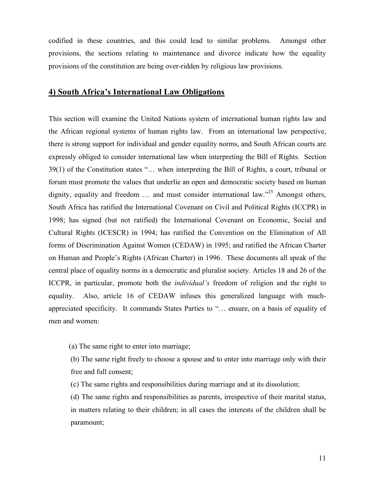codified in these countries, and this could lead to similar problems. Amongst other provisions, the sections relating to maintenance and divorce indicate how the equality provisions of the constitution are being over-ridden by religious law provisions.

## **4) South Africa's International Law Obligations**

This section will examine the United Nations system of international human rights law and the African regional systems of human rights law. From an international law perspective, there is strong support for individual and gender equality norms, and South African courts are expressly obliged to consider international law when interpreting the Bill of Rights. Section 39(1) of the Constitution states "… when interpreting the Bill of Rights, a court, tribunal or forum must promote the values that underlie an open and democratic society based on human dignity, equality and freedom ... and must consider international law.<sup>225</sup> Amongst others, South Africa has ratified the International Covenant on Civil and Political Rights (ICCPR) in 1998; has signed (but not ratified) the International Covenant on Economic, Social and Cultural Rights (ICESCR) in 1994; has ratified the Convention on the Elimination of All forms of Discrimination Against Women (CEDAW) in 1995; and ratified the African Charter on Human and People's Rights (African Charter) in 1996. These documents all speak of the central place of equality norms in a democratic and pluralist society. Articles 18 and 26 of the ICCPR, in particular, promote both the *individual's* freedom of religion and the right to equality. Also, article 16 of CEDAW infuses this generalized language with muchappreciated specificity. It commands States Parties to "… ensure, on a basis of equality of men and women:

(a) The same right to enter into marriage;

(b) The same right freely to choose a spouse and to enter into marriage only with their free and full consent;

(c) The same rights and responsibilities during marriage and at its dissolution;

(d) The same rights and responsibilities as parents, irrespective of their marital status, in matters relating to their children; in all cases the interests of the children shall be paramount;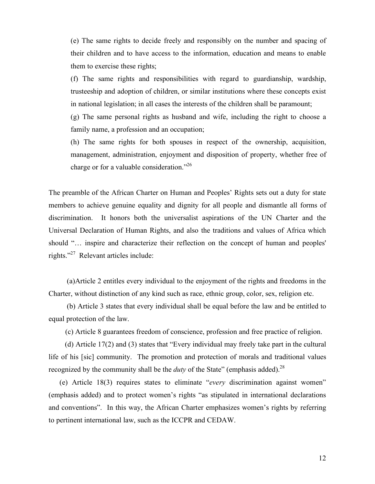(e) The same rights to decide freely and responsibly on the number and spacing of their children and to have access to the information, education and means to enable them to exercise these rights;

(f) The same rights and responsibilities with regard to guardianship, wardship, trusteeship and adoption of children, or similar institutions where these concepts exist in national legislation; in all cases the interests of the children shall be paramount;

(g) The same personal rights as husband and wife, including the right to choose a family name, a profession and an occupation;

(h) The same rights for both spouses in respect of the ownership, acquisition, management, administration, enjoyment and disposition of property, whether free of charge or for a valuable consideration."<sup>26</sup>

The preamble of the African Charter on Human and Peoples' Rights sets out a duty for state members to achieve genuine equality and dignity for all people and dismantle all forms of discrimination. It honors both the universalist aspirations of the UN Charter and the Universal Declaration of Human Rights, and also the traditions and values of Africa which should "… inspire and characterize their reflection on the concept of human and peoples' rights."<sup>27</sup> Relevant articles include:

(a)Article 2 entitles every individual to the enjoyment of the rights and freedoms in the Charter, without distinction of any kind such as race, ethnic group, color, sex, religion etc.

(b) Article 3 states that every individual shall be equal before the law and be entitled to equal protection of the law.

(c) Article 8 guarantees freedom of conscience, profession and free practice of religion.

(d) Article 17(2) and (3) states that "Every individual may freely take part in the cultural life of his [sic] community. The promotion and protection of morals and traditional values recognized by the community shall be the *duty* of the State" (emphasis added).<sup>28</sup>

(e) Article 18(3) requires states to eliminate "*every* discrimination against women" (emphasis added) and to protect women's rights "as stipulated in international declarations and conventions". In this way, the African Charter emphasizes women's rights by referring to pertinent international law, such as the ICCPR and CEDAW.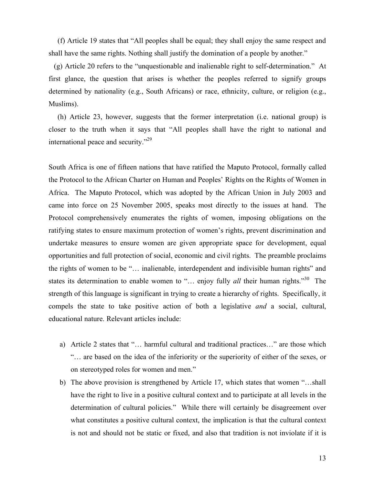(f) Article 19 states that "All peoples shall be equal; they shall enjoy the same respect and shall have the same rights. Nothing shall justify the domination of a people by another."

(g) Article 20 refers to the "unquestionable and inalienable right to self-determination." At first glance, the question that arises is whether the peoples referred to signify groups determined by nationality (e.g., South Africans) or race, ethnicity, culture, or religion (e.g., Muslims).

(h) Article 23, however, suggests that the former interpretation (i.e. national group) is closer to the truth when it says that "All peoples shall have the right to national and international peace and security."<sup>29</sup>

South Africa is one of fifteen nations that have ratified the Maputo Protocol, formally called the Protocol to the African Charter on Human and Peoples' Rights on the Rights of Women in Africa. The Maputo Protocol, which was adopted by the African Union in July 2003 and came into force on 25 November 2005, speaks most directly to the issues at hand. The Protocol comprehensively enumerates the rights of women, imposing obligations on the ratifying states to ensure maximum protection of women's rights, prevent discrimination and undertake measures to ensure women are given appropriate space for development, equal opportunities and full protection of social, economic and civil rights. The preamble proclaims the rights of women to be "… inalienable, interdependent and indivisible human rights" and states its determination to enable women to "... enjoy fully *all* their human rights."<sup>30</sup> The strength of this language is significant in trying to create a hierarchy of rights. Specifically, it compels the state to take positive action of both a legislative *and* a social, cultural, educational nature. Relevant articles include:

- a) Article 2 states that "… harmful cultural and traditional practices…" are those which "… are based on the idea of the inferiority or the superiority of either of the sexes, or on stereotyped roles for women and men."
- b) The above provision is strengthened by Article 17, which states that women "…shall have the right to live in a positive cultural context and to participate at all levels in the determination of cultural policies." While there will certainly be disagreement over what constitutes a positive cultural context, the implication is that the cultural context is not and should not be static or fixed, and also that tradition is not inviolate if it is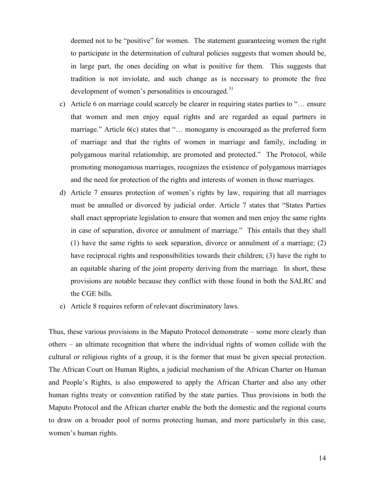deemed not to be "positive" for women. The statement guaranteeing women the right to participate in the determination of cultural policies suggests that women should be, in large part, the ones deciding on what is positive for them. This suggests that tradition is not inviolate, and such change as is necessary to promote the free development of women's personalities is encouraged. $31$ 

- c) Article 6 on marriage could scarcely be clearer in requiring states parties to "… ensure that women and men enjoy equal rights and are regarded as equal partners in marriage." Article 6(c) states that "... monogamy is encouraged as the preferred form of marriage and that the rights of women in marriage and family, including in polygamous marital relationship, are promoted and protected." The Protocol, while promoting monogamous marriages, recognizes the existence of polygamous marriages and the need for protection of the rights and interests of women in those marriages.
- d) Article 7 ensures protection of women's rights by law, requiring that all marriages must be annulled or divorced by judicial order. Article 7 states that "States Parties shall enact appropriate legislation to ensure that women and men enjoy the same rights in case of separation, divorce or annulment of marriage." This entails that they shall (1) have the same rights to seek separation, divorce or annulment of a marriage; (2) have reciprocal rights and responsibilities towards their children; (3) have the right to an equitable sharing of the joint property deriving from the marriage*.* In short, these provisions are notable because they conflict with those found in both the SALRC and the CGE bills.
- e) Article 8 requires reform of relevant discriminatory laws.

Thus, these various provisions in the Maputo Protocol demonstrate – some more clearly than others – an ultimate recognition that where the individual rights of women collide with the cultural or religious rights of a group, it is the former that must be given special protection. The African Court on Human Rights, a judicial mechanism of the African Charter on Human and People's Rights, is also empowered to apply the African Charter and also any other human rights treaty or convention ratified by the state parties. Thus provisions in both the Maputo Protocol and the African charter enable the both the domestic and the regional courts to draw on a broader pool of norms protecting human, and more particularly in this case, women's human rights.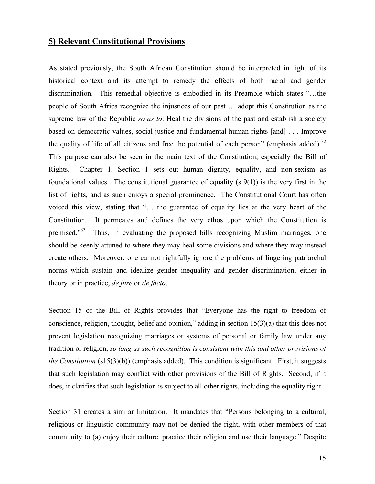### **5) Relevant Constitutional Provisions**

As stated previously, the South African Constitution should be interpreted in light of its historical context and its attempt to remedy the effects of both racial and gender discrimination. This remedial objective is embodied in its Preamble which states "…the people of South Africa recognize the injustices of our past … adopt this Constitution as the supreme law of the Republic *so as to*: Heal the divisions of the past and establish a society based on democratic values, social justice and fundamental human rights [and] . . . Improve the quality of life of all citizens and free the potential of each person" (emphasis added).<sup>32</sup> This purpose can also be seen in the main text of the Constitution, especially the Bill of Rights. Chapter 1, Section 1 sets out human dignity, equality, and non-sexism as foundational values. The constitutional guarantee of equality (s  $9(1)$ ) is the very first in the list of rights, and as such enjoys a special prominence. The Constitutional Court has often voiced this view, stating that "… the guarantee of equality lies at the very heart of the Constitution. It permeates and defines the very ethos upon which the Constitution is premised."<sup>33</sup> Thus, in evaluating the proposed bills recognizing Muslim marriages, one should be keenly attuned to where they may heal some divisions and where they may instead create others. Moreover, one cannot rightfully ignore the problems of lingering patriarchal norms which sustain and idealize gender inequality and gender discrimination, either in theory or in practice, *de jure* or *de facto*.

Section 15 of the Bill of Rights provides that "Everyone has the right to freedom of conscience, religion, thought, belief and opinion," adding in section 15(3)(a) that this does not prevent legislation recognizing marriages or systems of personal or family law under any tradition or religion, *so long as such recognition is consistent with this and other provisions of the Constitution* (s15(3)(b)) (emphasis added). This condition is significant. First, it suggests that such legislation may conflict with other provisions of the Bill of Rights. Second, if it does, it clarifies that such legislation is subject to all other rights, including the equality right.

Section 31 creates a similar limitation. It mandates that "Persons belonging to a cultural, religious or linguistic community may not be denied the right, with other members of that community to (a) enjoy their culture, practice their religion and use their language." Despite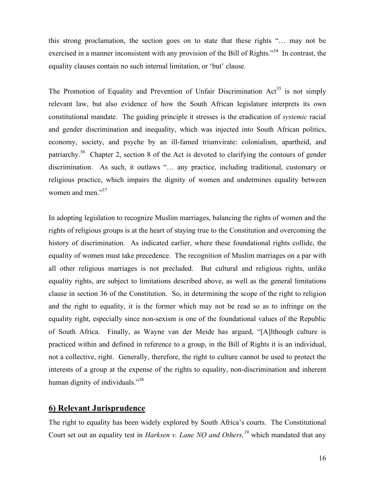this strong proclamation, the section goes on to state that these rights "… may not be exercised in a manner inconsistent with any provision of the Bill of Rights."<sup>34</sup> In contrast, the equality clauses contain no such internal limitation, or 'but' clause.

The Promotion of Equality and Prevention of Unfair Discrimination  $Act^{35}$  is not simply relevant law, but also evidence of how the South African legislature interprets its own constitutional mandate. The guiding principle it stresses is the eradication of *systemic* racial and gender discrimination and inequality, which was injected into South African politics, economy, society, and psyche by an ill-famed triumvirate: colonialism, apartheid, and patriarchy.<sup>36</sup> Chapter 2, section 8 of the Act is devoted to clarifying the contours of gender discrimination. As such, it outlaws "… any practice, including traditional, customary or religious practice, which impairs the dignity of women and undermines equality between women and men."<sup>37</sup>

In adopting legislation to recognize Muslim marriages, balancing the rights of women and the rights of religious groups is at the heart of staying true to the Constitution and overcoming the history of discrimination. As indicated earlier, where these foundational rights collide, the equality of women must take precedence. The recognition of Muslim marriages on a par with all other religious marriages is not precluded. But cultural and religious rights, unlike equality rights, are subject to limitations described above, as well as the general limitations clause in section 36 of the Constitution. So, in determining the scope of the right to religion and the right to equality, it is the former which may not be read so as to infringe on the equality right, especially since non-sexism is one of the foundational values of the Republic of South Africa. Finally, as Wayne van der Meide has argued, "[A]lthough culture is practiced within and defined in reference to a group, in the Bill of Rights it is an individual, not a collective, right. Generally, therefore, the right to culture cannot be used to protect the interests of a group at the expense of the rights to equality, non-discrimination and inherent human dignity of individuals."<sup>38</sup>

#### **6) Relevant Jurisprudence**

The right to equality has been widely explored by South Africa's courts. The Constitutional Court set out an equality test in *Harksen v. Lane NO and Others, 39* which mandated that any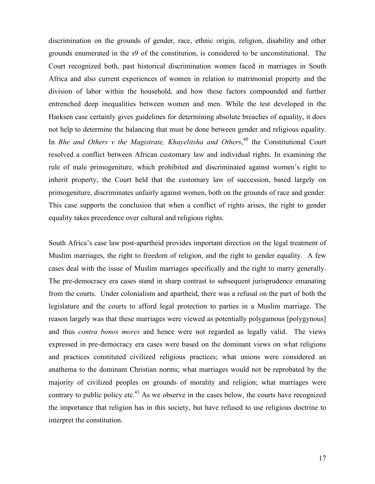discrimination on the grounds of gender, race, ethnic origin, religion, disability and other grounds enumerated in the s9 of the constitution, is considered to be unconstitutional. The Court recognized both, past historical discrimination women faced in marriages in South Africa and also current experiences of women in relation to matrimonial property and the division of labor within the household, and how these factors compounded and further entrenched deep inequalities between women and men. While the test developed in the Harksen case certainly gives guidelines for determining absolute breaches of equality, it does not help to determine the balancing that must be done between gender and religious equality. In *Bhe and Others v the Magistrate, Khayelitsha and Others*, <sup>40</sup> the Constitutional Court resolved a conflict between African customary law and individual rights. In examining the rule of male primogeniture, which prohibited and discriminated against women's right to inherit property, the Court held that the customary law of succession, based largely on primogeniture, discriminates unfairly against women, both on the grounds of race and gender. This case supports the conclusion that when a conflict of rights arises, the right to gender equality takes precedence over cultural and religious rights.

South Africa's case law post-apartheid provides important direction on the legal treatment of Muslim marriages, the right to freedom of religion, and the right to gender equality. A few cases deal with the issue of Muslim marriages specifically and the right to marry generally. The pre-democracy era cases stand in sharp contrast to subsequent jurisprudence emanating from the courts. Under colonialism and apartheid, there was a refusal on the part of both the legislature and the courts to afford legal protection to parties in a Muslim marriage. The reason largely was that these marriages were viewed as potentially polygamous [polygynous] and thus *contra bonos mores* and hence were not regarded as legally valid. The views expressed in pre-democracy era cases were based on the dominant views on what religions and practices constituted civilized religious practices; what unions were considered an anathema to the dominant Christian norms; what marriages would not be reprobated by the majority of civilized peoples on grounds of morality and religion; what marriages were contrary to public policy etc.<sup>41</sup> As we observe in the cases below, the courts have recognized the importance that religion has in this society, but have refused to use religious doctrine to interpret the constitution.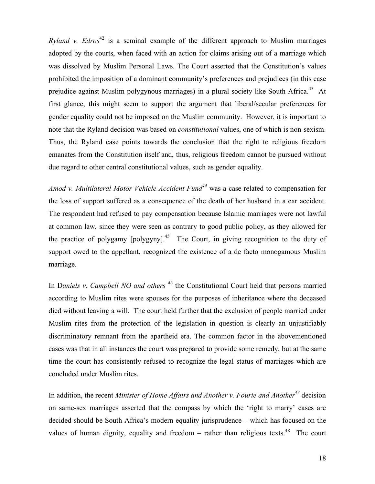*Ryland v. Edros*<sup>42</sup> is a seminal example of the different approach to Muslim marriages adopted by the courts, when faced with an action for claims arising out of a marriage which was dissolved by Muslim Personal Laws. The Court asserted that the Constitution's values prohibited the imposition of a dominant community's preferences and prejudices (in this case prejudice against Muslim polygynous marriages) in a plural society like South Africa.<sup>43</sup> At first glance, this might seem to support the argument that liberal/secular preferences for gender equality could not be imposed on the Muslim community. However, it is important to note that the Ryland decision was based on *constitutional* values, one of which is non-sexism. Thus, the Ryland case points towards the conclusion that the right to religious freedom emanates from the Constitution itself and, thus, religious freedom cannot be pursued without due regard to other central constitutional values, such as gender equality.

*Amod v. Multilateral Motor Vehicle Accident Fund44* was a case related to compensation for the loss of support suffered as a consequence of the death of her husband in a car accident. The respondent had refused to pay compensation because Islamic marriages were not lawful at common law, since they were seen as contrary to good public policy, as they allowed for the practice of polygamy [polygyny].<sup>45</sup> The Court, in giving recognition to the duty of support owed to the appellant, recognized the existence of a de facto monogamous Muslim marriage.

In D*aniels v. Campbell NO and others <sup>46</sup>* the Constitutional Court held that persons married according to Muslim rites were spouses for the purposes of inheritance where the deceased died without leaving a will. The court held further that the exclusion of people married under Muslim rites from the protection of the legislation in question is clearly an unjustifiably discriminatory remnant from the apartheid era. The common factor in the abovementioned cases was that in all instances the court was prepared to provide some remedy, but at the same time the court has consistently refused to recognize the legal status of marriages which are concluded under Muslim rites.

In addition, the recent *Minister of Home Affairs and Another v. Fourie and Another <sup>47</sup>* decision on same-sex marriages asserted that the compass by which the 'right to marry' cases are decided should be South Africa's modern equality jurisprudence – which has focused on the values of human dignity, equality and freedom  $-$  rather than religious texts.<sup>48</sup> The court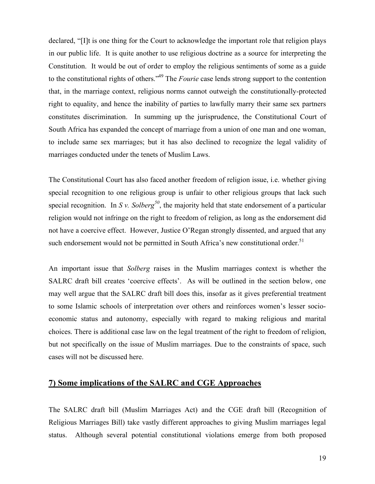declared, "[I]t is one thing for the Court to acknowledge the important role that religion plays in our public life. It is quite another to use religious doctrine as a source for interpreting the Constitution. It would be out of order to employ the religious sentiments of some as a guide to the constitutional rights of others." <sup>49</sup> The *Fourie* case lends strong support to the contention that, in the marriage context, religious norms cannot outweigh the constitutionally-protected right to equality, and hence the inability of parties to lawfully marry their same sex partners constitutes discrimination. In summing up the jurisprudence, the Constitutional Court of South Africa has expanded the concept of marriage from a union of one man and one woman, to include same sex marriages; but it has also declined to recognize the legal validity of marriages conducted under the tenets of Muslim Laws.

The Constitutional Court has also faced another freedom of religion issue, i.e. whether giving special recognition to one religious group is unfair to other religious groups that lack such special recognition. In *S v. Solberg*<sup>50</sup>, the majority held that state endorsement of a particular religion would not infringe on the right to freedom of religion, as long as the endorsement did not have a coercive effect. However, Justice O'Regan strongly dissented, and argued that any such endorsement would not be permitted in South Africa's new constitutional order.<sup>51</sup>

An important issue that *Solberg* raises in the Muslim marriages context is whether the SALRC draft bill creates 'coercive effects'. As will be outlined in the section below, one may well argue that the SALRC draft bill does this, insofar as it gives preferential treatment to some Islamic schools of interpretation over others and reinforces women's lesser socioeconomic status and autonomy, especially with regard to making religious and marital choices. There is additional case law on the legal treatment of the right to freedom of religion, but not specifically on the issue of Muslim marriages. Due to the constraints of space, such cases will not be discussed here.

#### **7) Some implications of the SALRC and CGE Approaches**

The SALRC draft bill (Muslim Marriages Act) and the CGE draft bill (Recognition of Religious Marriages Bill) take vastly different approaches to giving Muslim marriages legal status. Although several potential constitutional violations emerge from both proposed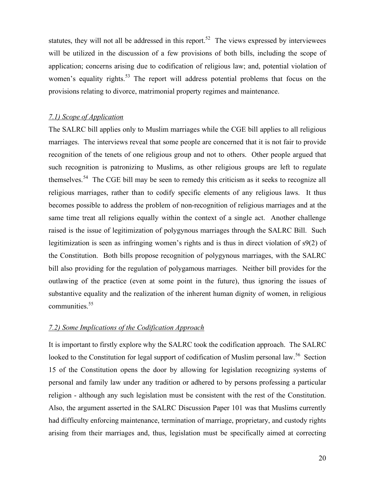statutes, they will not all be addressed in this report.<sup>52</sup> The views expressed by interviewees will be utilized in the discussion of a few provisions of both bills, including the scope of application; concerns arising due to codification of religious law; and, potential violation of women's equality rights.<sup>53</sup> The report will address potential problems that focus on the provisions relating to divorce, matrimonial property regimes and maintenance.

#### *7.1) Scope of Application*

The SALRC bill applies only to Muslim marriages while the CGE bill applies to all religious marriages. The interviews reveal that some people are concerned that it is not fair to provide recognition of the tenets of one religious group and not to others. Other people argued that such recognition is patronizing to Muslims, as other religious groups are left to regulate themselves.<sup>54</sup> The CGE bill may be seen to remedy this criticism as it seeks to recognize all religious marriages, rather than to codify specific elements of any religious laws. It thus becomes possible to address the problem of non-recognition of religious marriages and at the same time treat all religions equally within the context of a single act. Another challenge raised is the issue of legitimization of polygynous marriages through the SALRC Bill. Such legitimization is seen as infringing women's rights and is thus in direct violation of s9(2) of the Constitution. Both bills propose recognition of polygynous marriages, with the SALRC bill also providing for the regulation of polygamous marriages. Neither bill provides for the outlawing of the practice (even at some point in the future), thus ignoring the issues of substantive equality and the realization of the inherent human dignity of women, in religious communities. 55

#### *7.2) Some Implications of the Codification Approach*

It is important to firstly explore why the SALRC took the codification approach. The SALRC looked to the Constitution for legal support of codification of Muslim personal law.<sup>56</sup> Section 15 of the Constitution opens the door by allowing for legislation recognizing systems of personal and family law under any tradition or adhered to by persons professing a particular religion - although any such legislation must be consistent with the rest of the Constitution. Also, the argument asserted in the SALRC Discussion Paper 101 was that Muslims currently had difficulty enforcing maintenance, termination of marriage, proprietary, and custody rights arising from their marriages and, thus, legislation must be specifically aimed at correcting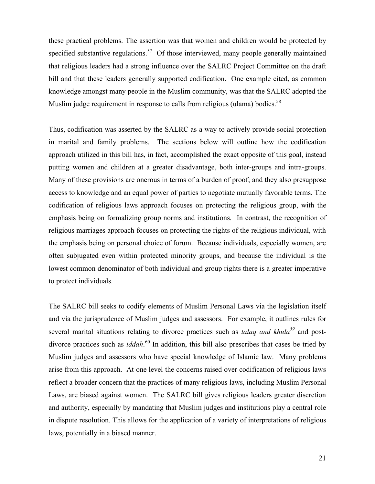these practical problems. The assertion was that women and children would be protected by specified substantive regulations.<sup>57</sup> Of those interviewed, many people generally maintained that religious leaders had a strong influence over the SALRC Project Committee on the draft bill and that these leaders generally supported codification. One example cited, as common knowledge amongst many people in the Muslim community, was that the SALRC adopted the Muslim judge requirement in response to calls from religious (ulama) bodies.<sup>58</sup>

Thus, codification was asserted by the SALRC as a way to actively provide social protection in marital and family problems. The sections below will outline how the codification approach utilized in this bill has, in fact, accomplished the exact opposite of this goal, instead putting women and children at a greater disadvantage, both inter-groups and intra-groups. Many of these provisions are onerous in terms of a burden of proof; and they also presuppose access to knowledge and an equal power of parties to negotiate mutually favorable terms. The codification of religious laws approach focuses on protecting the religious group, with the emphasis being on formalizing group norms and institutions. In contrast, the recognition of religious marriages approach focuses on protecting the rights of the religious individual, with the emphasis being on personal choice of forum. Because individuals, especially women, are often subjugated even within protected minority groups, and because the individual is the lowest common denominator of both individual and group rights there is a greater imperative to protect individuals.

The SALRC bill seeks to codify elements of Muslim Personal Laws via the legislation itself and via the jurisprudence of Muslim judges and assessors. For example, it outlines rules for several marital situations relating to divorce practices such as *talaq and khula <sup>59</sup>* and postdivorce practices such as *iddah*. <sup>60</sup> In addition, this bill also prescribes that cases be tried by Muslim judges and assessors who have special knowledge of Islamic law. Many problems arise from this approach. At one level the concerns raised over codification of religious laws reflect a broader concern that the practices of many religious laws, including Muslim Personal Laws, are biased against women. The SALRC bill gives religious leaders greater discretion and authority, especially by mandating that Muslim judges and institutions play a central role in dispute resolution. This allows for the application of a variety of interpretations of religious laws, potentially in a biased manner.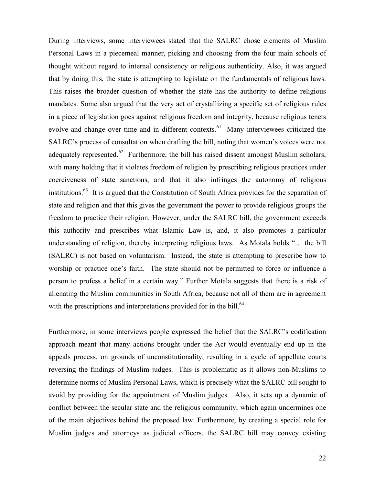During interviews, some interviewees stated that the SALRC chose elements of Muslim Personal Laws in a piecemeal manner, picking and choosing from the four main schools of thought without regard to internal consistency or religious authenticity. Also, it was argued that by doing this, the state is attempting to legislate on the fundamentals of religious laws. This raises the broader question of whether the state has the authority to define religious mandates. Some also argued that the very act of crystallizing a specific set of religious rules in a piece of legislation goes against religious freedom and integrity, because religious tenets evolve and change over time and in different contexts.<sup>61</sup> Many interviewees criticized the SALRC's process of consultation when drafting the bill, noting that women's voices were not adequately represented.<sup>62</sup> Furthermore, the bill has raised dissent amongst Muslim scholars, with many holding that it violates freedom of religion by prescribing religious practices under coerciveness of state sanctions, and that it also infringes the autonomy of religious institutions.<sup>63</sup> It is argued that the Constitution of South Africa provides for the separation of state and religion and that this gives the government the power to provide religious groups the freedom to practice their religion. However, under the SALRC bill, the government exceeds this authority and prescribes what Islamic Law is, and, it also promotes a particular understanding of religion, thereby interpreting religious laws. As Motala holds "… the bill (SALRC) is not based on voluntarism. Instead, the state is attempting to prescribe how to worship or practice one's faith. The state should not be permitted to force or influence a person to profess a belief in a certain way." Further Motala suggests that there is a risk of alienating the Muslim communities in South Africa, because not all of them are in agreement with the prescriptions and interpretations provided for in the bill.<sup>64</sup>

Furthermore, in some interviews people expressed the belief that the SALRC's codification approach meant that many actions brought under the Act would eventually end up in the appeals process, on grounds of unconstitutionality, resulting in a cycle of appellate courts reversing the findings of Muslim judges. This is problematic as it allows non-Muslims to determine norms of Muslim Personal Laws, which is precisely what the SALRC bill sought to avoid by providing for the appointment of Muslim judges. Also, it sets up a dynamic of conflict between the secular state and the religious community, which again undermines one of the main objectives behind the proposed law. Furthermore, by creating a special role for Muslim judges and attorneys as judicial officers, the SALRC bill may convey existing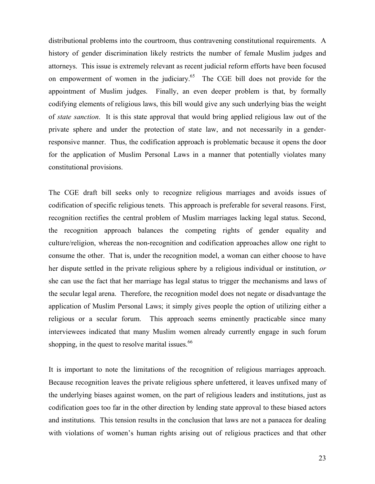distributional problems into the courtroom, thus contravening constitutional requirements. A history of gender discrimination likely restricts the number of female Muslim judges and attorneys. This issue is extremely relevant as recent judicial reform efforts have been focused on empowerment of women in the judiciary.<sup>65</sup> The CGE bill does not provide for the appointment of Muslim judges. Finally, an even deeper problem is that, by formally codifying elements of religious laws, this bill would give any such underlying bias the weight of *state sanction*. It is this state approval that would bring applied religious law out of the private sphere and under the protection of state law, and not necessarily in a genderresponsive manner. Thus, the codification approach is problematic because it opens the door for the application of Muslim Personal Laws in a manner that potentially violates many constitutional provisions.

The CGE draft bill seeks only to recognize religious marriages and avoids issues of codification of specific religious tenets. This approach is preferable for several reasons. First, recognition rectifies the central problem of Muslim marriages lacking legal status. Second, the recognition approach balances the competing rights of gender equality and culture/religion, whereas the non-recognition and codification approaches allow one right to consume the other. That is, under the recognition model, a woman can either choose to have her dispute settled in the private religious sphere by a religious individual or institution, *or* she can use the fact that her marriage has legal status to trigger the mechanisms and laws of the secular legal arena. Therefore, the recognition model does not negate or disadvantage the application of Muslim Personal Laws; it simply gives people the option of utilizing either a religious or a secular forum. This approach seems eminently practicable since many interviewees indicated that many Muslim women already currently engage in such forum shopping, in the quest to resolve marital issues.<sup>66</sup>

It is important to note the limitations of the recognition of religious marriages approach. Because recognition leaves the private religious sphere unfettered, it leaves unfixed many of the underlying biases against women, on the part of religious leaders and institutions, just as codification goes too far in the other direction by lending state approval to these biased actors and institutions. This tension results in the conclusion that laws are not a panacea for dealing with violations of women's human rights arising out of religious practices and that other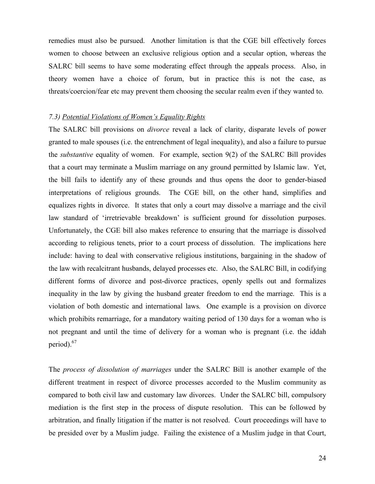remedies must also be pursued. Another limitation is that the CGE bill effectively forces women to choose between an exclusive religious option and a secular option, whereas the SALRC bill seems to have some moderating effect through the appeals process. Also, in theory women have a choice of forum, but in practice this is not the case, as threats/coercion/fear etc may prevent them choosing the secular realm even if they wanted to.

#### *7.3) Potential Violations of Women's Equality Rights*

The SALRC bill provisions on *divorce* reveal a lack of clarity, disparate levels of power granted to male spouses (i.e. the entrenchment of legal inequality), and also a failure to pursue the *substantive* equality of women. For example, section 9(2) of the SALRC Bill provides that a court may terminate a Muslim marriage on any ground permitted by Islamic law. Yet, the bill fails to identify any of these grounds and thus opens the door to gender-biased interpretations of religious grounds. The CGE bill, on the other hand, simplifies and equalizes rights in divorce. It states that only a court may dissolve a marriage and the civil law standard of 'irretrievable breakdown' is sufficient ground for dissolution purposes. Unfortunately, the CGE bill also makes reference to ensuring that the marriage is dissolved according to religious tenets, prior to a court process of dissolution. The implications here include: having to deal with conservative religious institutions, bargaining in the shadow of the law with recalcitrant husbands, delayed processes etc. Also, the SALRC Bill, in codifying different forms of divorce and post-divorce practices, openly spells out and formalizes inequality in the law by giving the husband greater freedom to end the marriage. This is a violation of both domestic and international laws. One example is a provision on divorce which prohibits remarriage, for a mandatory waiting period of 130 days for a woman who is not pregnant and until the time of delivery for a woman who is pregnant (i.e. the iddah period). 67

The *process of dissolution of marriages* under the SALRC Bill is another example of the different treatment in respect of divorce processes accorded to the Muslim community as compared to both civil law and customary law divorces. Under the SALRC bill, compulsory mediation is the first step in the process of dispute resolution. This can be followed by arbitration, and finally litigation if the matter is not resolved. Court proceedings will have to be presided over by a Muslim judge. Failing the existence of a Muslim judge in that Court,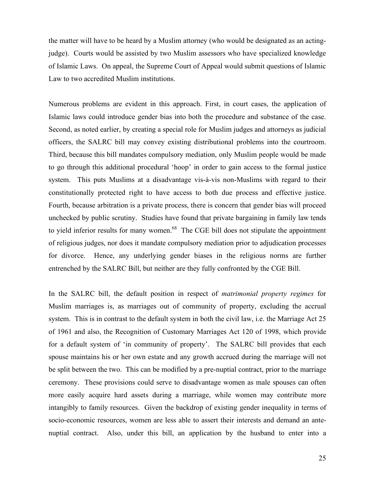the matter will have to be heard by a Muslim attorney (who would be designated as an actingjudge). Courts would be assisted by two Muslim assessors who have specialized knowledge of Islamic Laws. On appeal, the Supreme Court of Appeal would submit questions of Islamic Law to two accredited Muslim institutions.

Numerous problems are evident in this approach. First, in court cases, the application of Islamic laws could introduce gender bias into both the procedure and substance of the case. Second, as noted earlier, by creating a special role for Muslim judges and attorneys as judicial officers, the SALRC bill may convey existing distributional problems into the courtroom. Third, because this bill mandates compulsory mediation, only Muslim people would be made to go through this additional procedural 'hoop' in order to gain access to the formal justice system. This puts Muslims at a disadvantage vis-à-vis non-Muslims with regard to their constitutionally protected right to have access to both due process and effective justice. Fourth, because arbitration is a private process, there is concern that gender bias will proceed unchecked by public scrutiny. Studies have found that private bargaining in family law tends to yield inferior results for many women.<sup>68</sup> The CGE bill does not stipulate the appointment of religious judges, nor does it mandate compulsory mediation prior to adjudication processes for divorce. Hence, any underlying gender biases in the religious norms are further entrenched by the SALRC Bill, but neither are they fully confronted by the CGE Bill.

In the SALRC bill, the default position in respect of *matrimonial property regimes* for Muslim marriages is, as marriages out of community of property, excluding the accrual system. This is in contrast to the default system in both the civil law, i.e. the Marriage Act 25 of 1961 and also, the Recognition of Customary Marriages Act 120 of 1998, which provide for a default system of 'in community of property'. The SALRC bill provides that each spouse maintains his or her own estate and any growth accrued during the marriage will not be split between the two. This can be modified by a pre-nuptial contract, prior to the marriage ceremony. These provisions could serve to disadvantage women as male spouses can often more easily acquire hard assets during a marriage, while women may contribute more intangibly to family resources. Given the backdrop of existing gender inequality in terms of socio-economic resources, women are less able to assert their interests and demand an antenuptial contract. Also, under this bill, an application by the husband to enter into a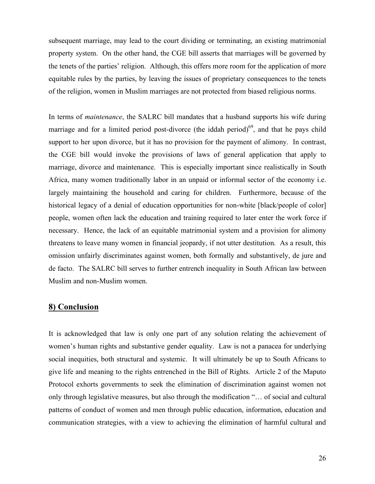subsequent marriage, may lead to the court dividing or terminating, an existing matrimonial property system. On the other hand, the CGE bill asserts that marriages will be governed by the tenets of the parties' religion. Although, this offers more room for the application of more equitable rules by the parties, by leaving the issues of proprietary consequences to the tenets of the religion, women in Muslim marriages are not protected from biased religious norms.

In terms of *maintenance*, the SALRC bill mandates that a husband supports his wife during marriage and for a limited period post-divorce (the iddah period) $^{69}$ , and that he pays child support to her upon divorce, but it has no provision for the payment of alimony. In contrast, the CGE bill would invoke the provisions of laws of general application that apply to marriage, divorce and maintenance. This is especially important since realistically in South Africa, many women traditionally labor in an unpaid or informal sector of the economy i.e. largely maintaining the household and caring for children. Furthermore, because of the historical legacy of a denial of education opportunities for non-white [black/people of color] people, women often lack the education and training required to later enter the work force if necessary. Hence, the lack of an equitable matrimonial system and a provision for alimony threatens to leave many women in financial jeopardy, if not utter destitution. As a result, this omission unfairly discriminates against women, both formally and substantively, de jure and de facto. The SALRC bill serves to further entrench inequality in South African law between Muslim and non-Muslim women.

## **8) Conclusion**

It is acknowledged that law is only one part of any solution relating the achievement of women's human rights and substantive gender equality. Law is not a panacea for underlying social inequities, both structural and systemic. It will ultimately be up to South Africans to give life and meaning to the rights entrenched in the Bill of Rights. Article 2 of the Maputo Protocol exhorts governments to seek the elimination of discrimination against women not only through legislative measures, but also through the modification "… of social and cultural patterns of conduct of women and men through public education, information, education and communication strategies, with a view to achieving the elimination of harmful cultural and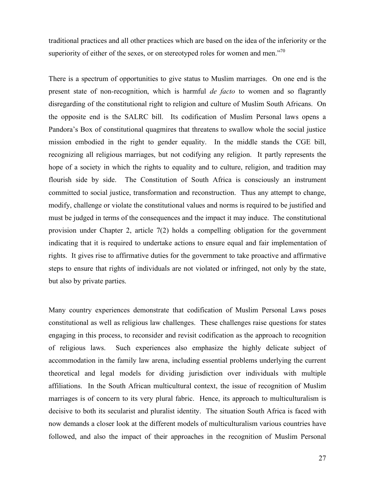traditional practices and all other practices which are based on the idea of the inferiority or the superiority of either of the sexes, or on stereotyped roles for women and men.<sup> $270$ </sup>

There is a spectrum of opportunities to give status to Muslim marriages. On one end is the present state of non-recognition, which is harmful *de facto* to women and so flagrantly disregarding of the constitutional right to religion and culture of Muslim South Africans. On the opposite end is the SALRC bill. Its codification of Muslim Personal laws opens a Pandora's Box of constitutional quagmires that threatens to swallow whole the social justice mission embodied in the right to gender equality. In the middle stands the CGE bill, recognizing all religious marriages, but not codifying any religion. It partly represents the hope of a society in which the rights to equality and to culture, religion, and tradition may flourish side by side. The Constitution of South Africa is consciously an instrument committed to social justice, transformation and reconstruction. Thus any attempt to change, modify, challenge or violate the constitutional values and norms is required to be justified and must be judged in terms of the consequences and the impact it may induce. The constitutional provision under Chapter 2, article 7(2) holds a compelling obligation for the government indicating that it is required to undertake actions to ensure equal and fair implementation of rights. It gives rise to affirmative duties for the government to take proactive and affirmative steps to ensure that rights of individuals are not violated or infringed, not only by the state, but also by private parties.

Many country experiences demonstrate that codification of Muslim Personal Laws poses constitutional as well as religious law challenges. These challenges raise questions for states engaging in this process, to reconsider and revisit codification as the approach to recognition of religious laws. Such experiences also emphasize the highly delicate subject of accommodation in the family law arena, including essential problems underlying the current theoretical and legal models for dividing jurisdiction over individuals with multiple affiliations. In the South African multicultural context, the issue of recognition of Muslim marriages is of concern to its very plural fabric. Hence, its approach to multiculturalism is decisive to both its secularist and pluralist identity. The situation South Africa is faced with now demands a closer look at the different models of multiculturalism various countries have followed, and also the impact of their approaches in the recognition of Muslim Personal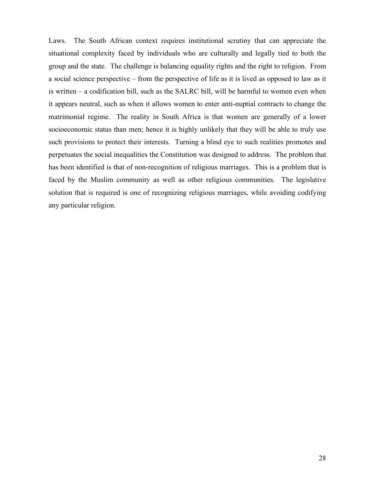Laws. The South African context requires institutional scrutiny that can appreciate the situational complexity faced by individuals who are culturally and legally tied to both the group and the state. The challenge is balancing equality rights and the right to religion. From a social science perspective – from the perspective of life as it is lived as opposed to law as it is written – a codification bill, such as the SALRC bill, will be harmful to women even when it appears neutral, such as when it allows women to enter anti-nuptial contracts to change the matrimonial regime. The reality in South Africa is that women are generally of a lower socioeconomic status than men; hence it is highly unlikely that they will be able to truly use such provisions to protect their interests. Turning a blind eye to such realities promotes and perpetuates the social inequalities the Constitution was designed to address. The problem that has been identified is that of non-recognition of religious marriages. This is a problem that is faced by the Muslim community as well as other religious communities. The legislative solution that is required is one of recognizing religious marriages, while avoiding codifying any particular religion.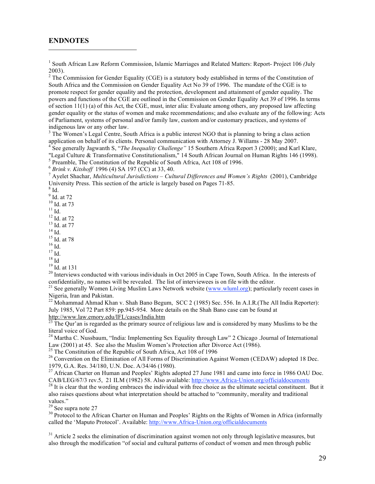#### **ENDNOTES**

1

<sup>1</sup> South African Law Reform Commission, Islamic Marriages and Related Matters: Report- Project 106 *(July 2003)*.

 $2\degree$  The Commission for Gender Equality (CGE) is a statutory body established in terms of the Constitution of South Africa and the Commission on Gender Equality Act No 39 of 1996. The mandate of the CGE is to promote respect for gender equality and the protection, development and attainment of gender equality. The powers and functions of the CGE are outlined in the Commission on Gender Equality Act 39 of 1996. In terms of section 11(1) (a) of this Act, the CGE, must, inter alia: Evaluate among others, any proposed law affecting gender equality or the status of women and make recommendations; and also evaluate any of the following: Acts of Parliament, systems of personal and/or family law, custom and/or customary practices, and systems of

<sup>3</sup> The Women's Legal Centre, South Africa is a public interest NGO that is planning to bring a class action application on behalf of its clients. Personal communication with Attorney J. Willams - 28 May 2007. <sup>4</sup> See generally Jagwanth S, "*The Inequality Challenge*" 15 Southern Africa Report 3 (2000); and Karl Klare, "Legal Culture & Transformative Constitutionalism," 14 South African Journal on Human Rights 146 (1998).

<sup>5</sup> Preamble, The Constitution of the Republic of South Africa, Act 108 of 1996.<br>
<sup>6</sup> Brink v. Kitshoff 1996 (4) SA 197 (CC) at 33, 40.<br>
<sup>7</sup> Ayelet Shachar, *Multicultural Jurisdictions – Cultural Differences and Women's* 

- 
- 
- 
- 
- 
- 
- 
- 
- 
- 
- 
- 

University Press. This section of the article is largely based on Pages 71-85.<br><sup>8</sup> Id.<br><sup>10</sup> Id. at 72<br><sup>10</sup> Id. at 73<br><sup>11</sup> Id. at 73<br><sup>12</sup> Id. at 77<br><sup>12</sup> Id. at 77<br><sup>14</sup> Id.<br><sup>16</sup> Id. at 78<br><sup>17</sup> Id.<br><sup>17</sup> Id. <sup>20</sup> Interviews conducted with various individuals in Oct 2005 in Cape Town, South Africa. In the interests of confidentiality, no names will be revealed. The list of interviewees is on file with the editor. <sup>21</sup> See gene

22 Mohammad Ahmad Khan v. Shah Bano Begum, SCC 2 (1985) Sec. 556. In A.I.R.(The All India Reporter): July 1985, Vol 72 Part 859: pp.945-954. More details on the Shah Bano case can be found at

 $\frac{http://www.law.emory.edu/IFL/cases/India.htm}{23}$  The Qur'an is regarded as the primary source of religious law and is considered by many Muslims to be the

literal voice of God.<br><sup>24</sup> Martha C. Nussbaum, "India: Implementing Sex Equality through Law" 2 Chicago .Journal of International Law (2001) at 45. See also the Muslim Women's Protection after Divorce Act (1986).

<sup>25</sup> The Constitution of the Republic of South Africa, Act 108 of 1996<br><sup>26</sup> Convention on the Elimination of All Forms of Discrimination Against Women (CEDAW) adopted 18 Dec.<br>1979, G.A. Res. 34/180, U.N. Doc. A/34/46 (198

<sup>27</sup> African Charter on Human and Peoples' Rights adopted 27 June 1981 and came into force in 1986 OAU Doc. CAB/LEG/67/3 rev.5, 21 ILM (1982) 58. Also available:  $\frac{http://www.Africa-Union.org/official documents}{http://www.Africa-Union.org/official documents}$ 

 $^{28}$  It is clear that the wording embraces the individual with free choice as the ultimate societal constituent. But it also raises questions about what interpretation should be attached to "community, morality and traditional values."<br><sup>29</sup> See supra note 27<br><sup>30</sup> Protocol to the African Charter on Human and Peoples' Rights on the Rights of Women in Africa (informally

called the 'Maputo Protocol'. Available: http://www.Africa-Union.org/officialdocuments

 $31$  Article 2 seeks the elimination of discrimination against women not only through legislative measures, but also through the modification "of social and cultural patterns of conduct of women and men through public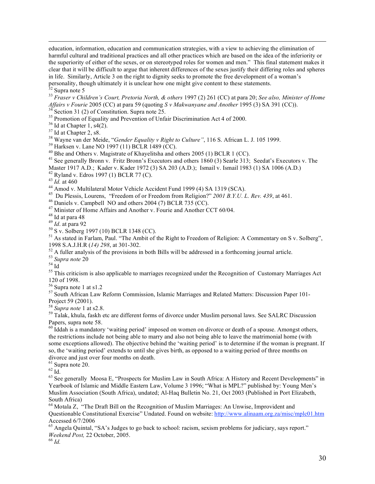education, information, education and communication strategies, with a view to achieving the elimination of harmful cultural and traditional practices and all other practices which are based on the idea of the inferiority or the superiority of either of the sexes, or on stereotyped roles for women and men." This final statement makes it clear that it will be difficult to argue that inherent differences of the sexes justify their differing roles and spheres in life. Similarly, Article 3 on the right to dignity seeks to promote the free development of a woman's personality, though ultimately it is unclear how one might give content to these statements.<br><sup>32</sup> Supra note 5<br><sup>33</sup> Fraser v Children's Court, Pretoria North, & others 1997 (2) 261 (CC) at para 20; See also, Minister of Ho

<u>.</u>

*Affairs v Fourie* 2005 (CC) at para 59 (quoting *S v Makwanyane and Another* 1995 (3) SA 391 (CC)).<br><sup>34</sup> Section 31 (2) of Constitution. Supra note 25.<br><sup>35</sup> Promotion of Equality and Prevention of Unfair Discrimination A

<sup>42</sup> Ryland v. Edros 1997 (1) BCLR 77 (C).<br><sup>43</sup> *Id.* at 460<br><sup>44</sup> Amod v. Multilateral Motor Vehicle Accident Fund 1999 (4) SA 1319 (SCA).<br><sup>45</sup> Du Plessis, Lourens, "Freedom of or Freedom from Religion?" 2001 B.Y.U. L. Re

<sup>52</sup> A fuller analysis of the provisions in both Bills will be addressed in a forthcoming journal article.<br><sup>53</sup> Supra note 20<br><sup>54</sup> Id<br><sup>55</sup> This criticism is also applicable to marriages recognized under the Recognition of

120 of 1998.<br><sup>56</sup> Supra note 1 at s1.2<br><sup>57</sup> South African Law Reform Commission, Islamic Marriages and Related Matters: Discussion Paper 101-

Project 59 (2001).<br><sup>58</sup> *Supra note* 1 at s2.8.<br><sup>59</sup> Talak, khula, faskh etc are different forms of divorce under Muslim personal laws. See SALRC Discussion<br>Papers, supra note 58.

 $60$  Iddah is a mandatory 'waiting period' imposed on women on divorce or death of a spouse. Amongst others, the restrictions include not being able to marry and also not being able to leave the matrimonial home (with some exceptions allowed). The objective behind the 'waiting period' is to determine if the woman is pregnant. If so, the 'waiting period' extends to until she gives birth, as opposed to a waiting period of three months on

<sup>61</sup> Supra note 20.<br><sup>62</sup> Id. 63 Id. 62 Id. 62 Id. 62 See generally Moosa E, "Prospects for Muslim Law in South Africa: A History and Recent Developments" in Yearbook of Islamic and Middle Eastern Law, Volume 3 1996; "What is MPL?" published by: Young Men's Muslim Association (South Africa), undated; Al-Haq Bulletin No. 21, Oct 2003 (Published in Port Elizabeth, South Africa)<br><sup>64</sup> Motala Z, "The Draft Bill on the Recognition of Muslim Marriages: An Unwise, Improvident and

Questionable Constitutional Exercise" Undated. Found on website: http://www.alinaam.org.za/misc/mplc01.htm Accessed 6/7/2006<br><sup>65</sup> Angela Quintal, "SA's Judges to go back to school: racism, sexism problems for judiciary, says report."

*Weekend Post,* 22 October, 2005.